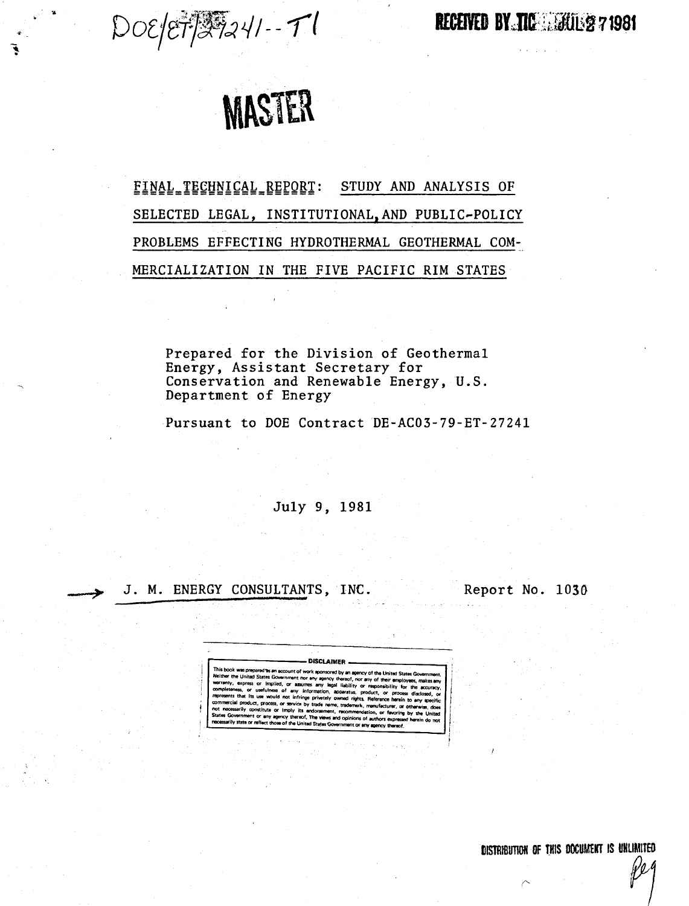$DOE/ET/37241-71$ 

RECEIVED BY TIC MAIL 271981



FINAL TECHNICAL REPORT: STUDY AND ANALYSIS OF SELECTED LEGAL, INSTITUTIONAL. AND PUBLIC~POLICY PROBLEMS EFFECTING HYDROTHERMAL GEOTHERMAL COM-MERCIALIZATION IN THE FIVE PACIFIC RIM STATES

Prepared for the Division of Geothermal Energy, Assistant Secretary for Conservation and Renewable Energy, U.S. Department of Energy

Pursuant to DOE Contract DE-AC03-79-ET-27241

July 9, 1981

## J. M. ENERGY CONSULTANTS, INC.

Report No. 1030

r------DISCLA'MER --,

by an agency of the United State Neither the United States Government nor any agency thereof, nor any of their employees, makes any werranry. express or Implied. or assumes any legal liabilitv or responsibility for completeness, or usefulness of any information, apparatus, product, or process disclosed or represents that its use would not infringe privately owned rights. Reference herein to any specific commercial product, process, or service by trade name, trademark, manufacturer, or otherwise, does<br>not nacessarily constitute or imply its endorsement, recommerciation, or favoring by the United<br>States Government or any ag necessarily state or reflect those of the United States Government or any apency thereof.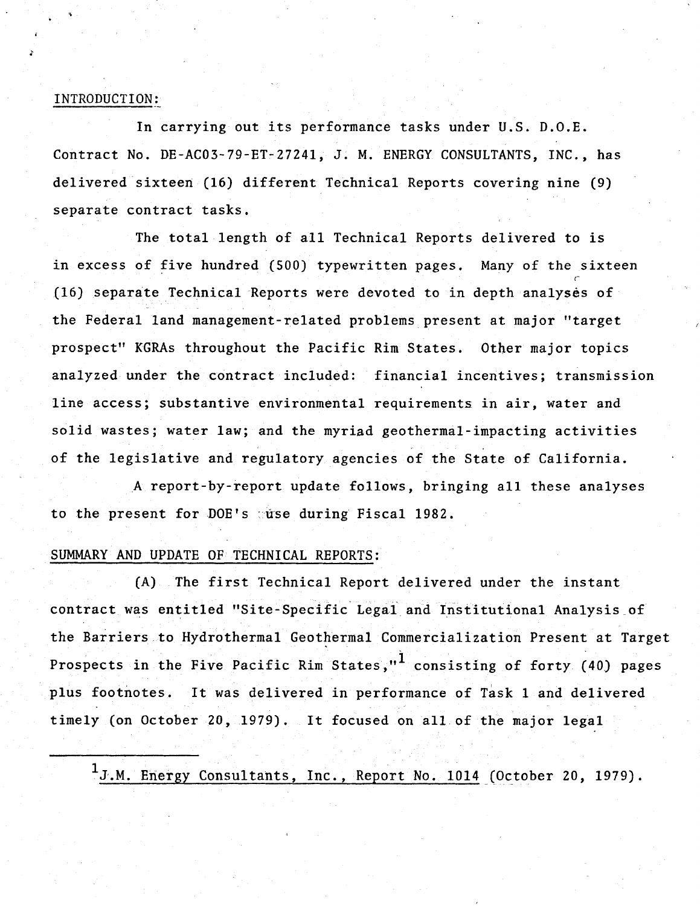## INTRODUCTION:

In carrying out its performance tasks under U.S. D.O.E. Contract No. DE-AC03-79-ET-2724l, J. M. ENERGY CONSULTANTS, INC., has delivered sixteen (16) different Technical Reports covering nine (9) separate contract tasks.

The total length of all Technical Reports delivered to is in excess of five hundred (SOO) typewritten pages. Many of the sixteen (16) separate Technical Reports were devoted to in depth analyses of the Federal land management-related problems present at major "target prospect" KGRAs throughout the Pacific Rim States. Other major topics analyzed under the contract included: financial incentives; transmission line access; substantive environmental requirements in air, water and solid wastes; water law; and the myriad geothermal-impacting activities of the legislative and regulatory agencies of the State of California.

A report-by-report update follows, bringing all these analyses to the present for DOE's suse during Fiscal 1982.

## SUMMARY AND UPDATE OF TECHNICAL REPORTS:

(A) The first Technical Report delivered under the instant contract was entitled "Site-Specific Legal and Institutional Analysis of the Barriers to Hydrothermal Geothermal Commercialization Present at Target Prospects in the Five Pacific Rim States."<sup>1</sup> consisting of forty (40) pages plus footnotes. It was delivered in performance of Task I and delivered timely (on October 20, 1979). It focused on all of the major legal

 $1_J.M.$  Energy Consultants, Inc., Report No. 1014 (October 20, 1979).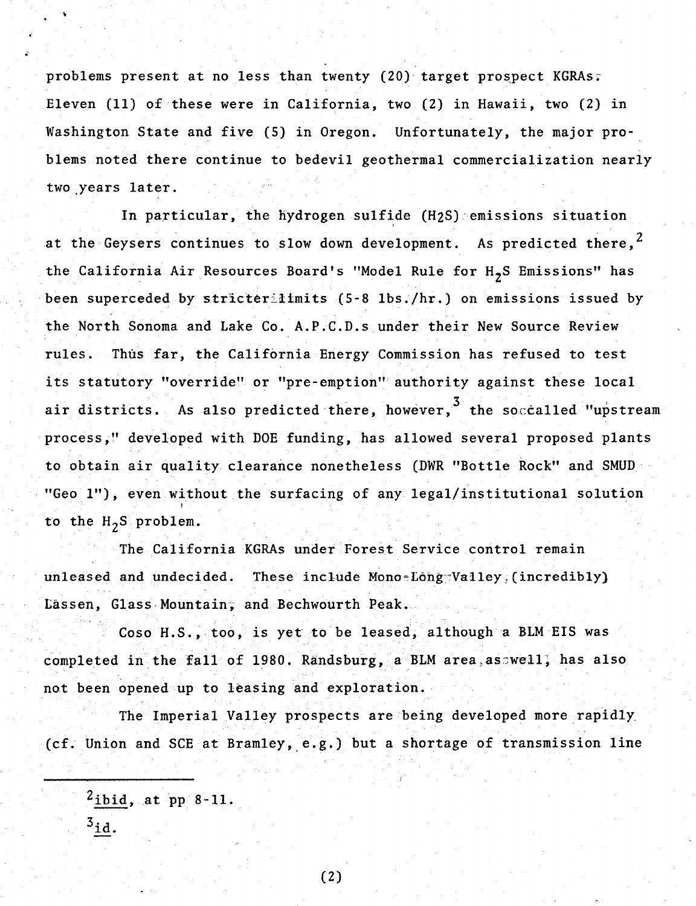problems present at no less than twenty (20) target prospect KGRAs; Eleven (11) of these were in California, two (2) in Hawaii, two (2) in Washington State and five (5) in Oregon. Unfortunately, the major problems noted there continue to bedevil geothermal commercialization nearly two years later.

In particular, the hydrogen sulfide (H2S) emissions situation at the Geysers continues to slow down development. As predicted there,  $^2$ the California Air Resources Board's "Model Rule for  $H_{2}S$  Emissions" has been superceded by stricterilimits (5-8 lbs./hr.) on emissions issued by the North Sonoma and Lake Co. A.P.C.D.s under their New Source Review rules. Thus far, the California Energy Commission has refused to test its statutory "override" or "pre-emption" authority against these local air districts. As also predicted there, however,  $3$  the soccalled "upstream process," developed with DOE funding, has allowed several proposed plants to obtain air quality clearance nonetheless (DWR "Bottle Rock" and SMUD "Geo 1"), even without the surfacing of any legal/institutional solution to the  $H_2S$  problem.

The California KGRAs under Forest Service control remain unleased and undecided. These include Mono-Long Valley, (incredibly) Lassen, Glass Mountain; and Bechwourth Peak.

Coso H.S., too, is yet to be leased, although a BLM EIS was completed in the fall of 1980. Randsburg, a BLM area, asswell, has also not been opened up to leasing and exploration.

The Imperial Valley prospects are being developed more. rapidly. (cf. Union and SCE at Bramley, e.g.) but a shortage of transmission line

 $^2$ <u>ibid</u>, at pp 8-11.

(2)

 $3_{id.}$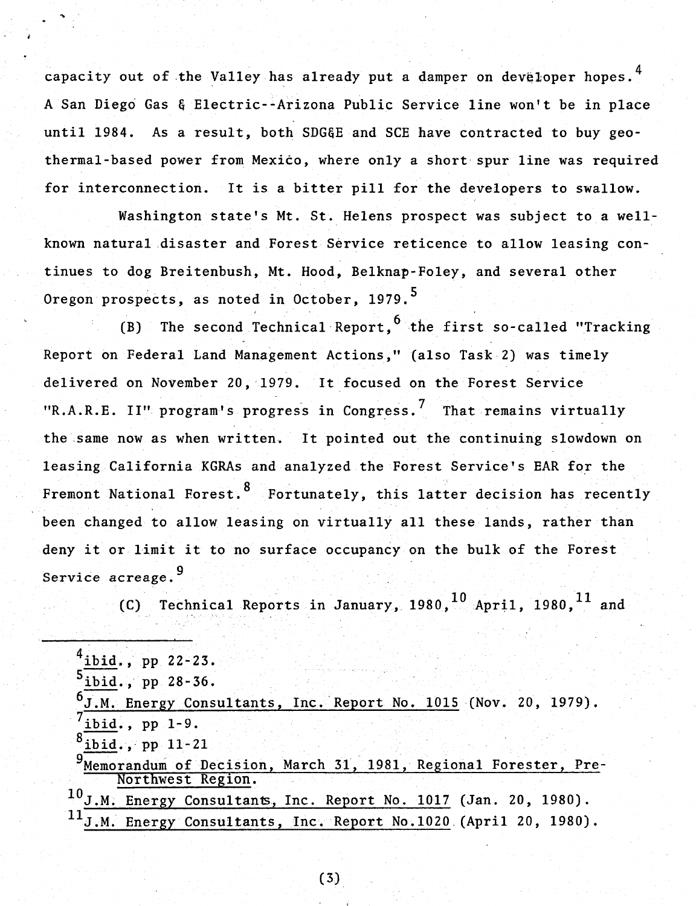capacity out of the Valley has already put a damper on developer hopes.  $4$ A San Diego Gas & Electric--Arizona Public Service line won't be in place until 1984. As a result, both SDG&E and SCE have contracted to buy geothermal-based power from Mexico, where only a short spur line was required for interconnection. It is a bitter pill for the developers to swallow.

Washington state's Mt. St. Helens prospect was subject to a wellknown natural ,disaster and Forest Service reticence to allow leasing continues to dog Breitenbush, Mt. Hood, Belknap-Foley, and several other Oregon prospects, as noted in October, 1979.<sup>5</sup>

(B) The second Technical Report,  $6$  the first so-called "Tracking" Report on Federal Land Management Actions," (also Task 2) was timely delivered on November 20, 1979. It focused on the Forest Service "R.A.R.E. II" program's progress in Congress.<sup>7</sup> That remains virtually the same now as when written. It pointed out the continuing slowdown on leasing CaliforniaKGRAs and analyzed the Forest Service's EAR for the Fremont National Forest.<sup>8</sup> Fortunately, this latter decision has recently been changed to allow leasing on virtually all these lands, rather than deny it or limit it to no surface occupancy on the bulk of the Forest Service acreage.<sup>9</sup>

(C) Technical Reports in January,  $1980, \frac{10}{\Lambda}$  April, 1980,  $^{11}$  and

 $^{4}$ ibid., pp 22-23.  $^5$ ibid., pp 28-36. J.M. Energy Consultants, Inc. Report No. 1015 (Nov. 20, 1979).  $7\overline{\text{ibid.}, pp 1-9}.$  $ibid.$ , pp  $11-21$ Memorandum of Decision, March 31, 1981, Regional Forester, Pre-Northwest Region. 10J.M. Energy Consultants, Inc. Report No. 1017 (Jan. 20, 1980). J.M. Energy Consultants, Inc. Report No.1020 (April 20, 1980).

(3)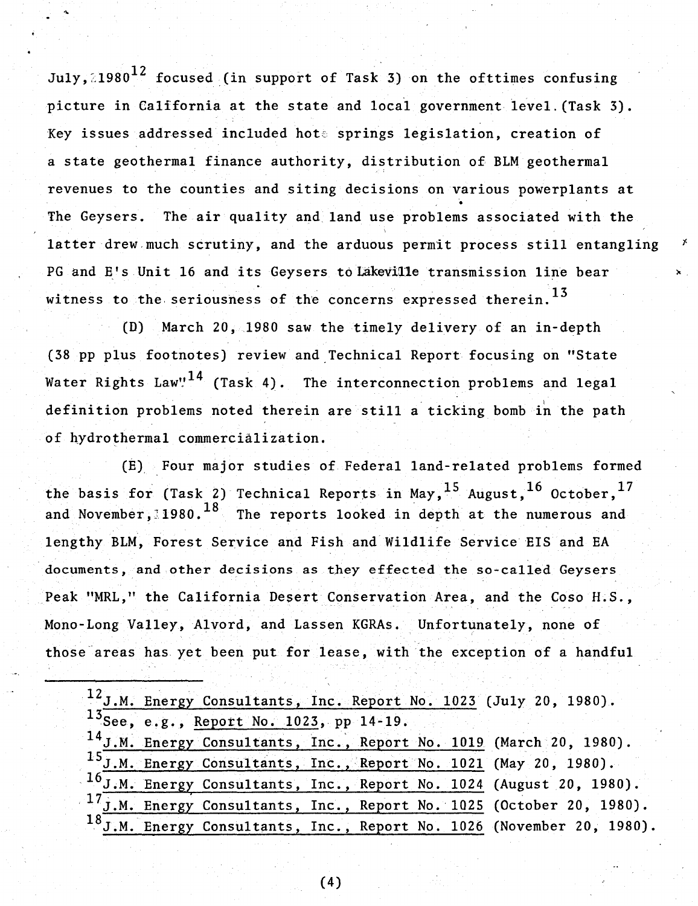July,  $21980$ <sup>12</sup> focused (in support of Task 3) on the ofttimes confusing picture in California at the state and local government level. (Task 3). Key issues addressed included hote springs legislation, creation of a state geothermal finance authority, distribution of BLM geothermal revenues to the counties and siting decisions on various powerplants at • The Geysers. The air quality and land use problems associated with the latter drew much scrutiny, and the arduous permit process still entangling PG and E's Unit 16 and its Geysers to Lakeville transmission line bear witness to the seriousness of the concerns expressed therein.  $^{13}$ 

 $(D)$  March 20, 1980 saw the timely delivery of an in-depth (38pp plus footnotes) review and Technical Report focusing on "State Water Rights Law"<sup>14</sup> (Task 4). The interconnection problems and legal definition problems noted therein are still a ticking bomb in the path of hydrothermal commercialization.

(E) Four major studies of Federal land-related problems formed the basis for (Task 2) Technical Reports in May,  $^{15}$  August,  $^{16}$  October,  $^{17}$ and November, 1980.<sup>18</sup> The reports looked in depth at the numerous and lengthy BLM, Forest Service and Fish and Wildlife Service EIS and EA documents, and other decisions as they effected the so-called Geysers Peak "MRL," the California Desert Conservation Area, and the Coso R.S., Mono-Long Valley, Alvord, and Lassen KGRAs. Unfortunately, none of those areas has yet been put for lease, with the exception of a handful

|  |                                            |  |  | $12$ J.M. Energy Consultants, Inc. Report No. 1023 (July 20, 1980).      |
|--|--------------------------------------------|--|--|--------------------------------------------------------------------------|
|  | $13$ See, e.g., Report No. 1023, pp 14-19. |  |  |                                                                          |
|  |                                            |  |  | $14$ J.M. Energy Consultants, Inc., Report No. 1019 (March 20, 1980).    |
|  |                                            |  |  | $15$ J.M. Energy Consultants, Inc., Report No. 1021 (May 20, 1980).      |
|  |                                            |  |  | $16$ J.M. Energy Consultants, Inc., Report No. 1024 (August 20, 1980).   |
|  |                                            |  |  | $17$ J.M. Energy Consultants, Inc., Report No. 1025 (October 20, 1980).  |
|  |                                            |  |  | $18$ J.M. Energy Consultants, Inc., Report No. 1026 (November 20, 1980). |

(4)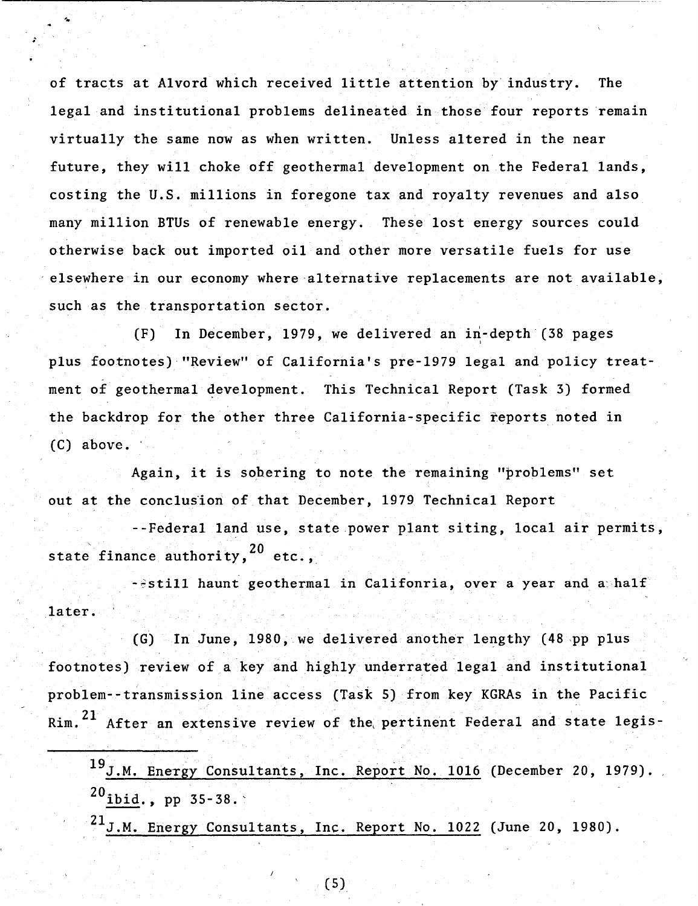of tracts at Alvord which received little attention by industry. The legal and institutional problems delineated in those four reports remain virtually the same now as when written. Unless altered in the near future, they will choke off geothermal development on the Federal lands, costing the U.S. millions in foregone tax and royalty revenues and also many million BTUs of renewable energy. These lost energy sources could otherwise back out imported oil and other more versatile fuels for use elsewhere in our economy where alternative replacements are not available, such as the transportation sector.

(F) In December, 1979, we delivered an in-depth (38 pages plus footnotes)'''Review'' of California's pre-1979 legal and policy treatment of geothermal development. This Technical Report (Task 3) formed the backdrop for the other three California-specific reports noted in  $(C)$  above.

Again, it is sohering to note the remaining "problems" set out at the conclusion of that December, 1979 Technical Report

--Federal land use, state power plant siting, local air permits, state finance authority,  $20$  etc..

 $-$ Sstill haunt geothermal in Califonria, over a year and a half later.

 $(G)$  In June, 1980, we delivered another lengthy  $(48$  pp plus footnotes) review of a key and highly underrated legal and institutional problem--transmission line access (Task 5) from key KGRAs in the Pacific Rim.<sup>21</sup> After an extensive review of the pertinent Federal and state legis-

19J.M. Energy Consultants, Inc. Report No. 1016 (December 20, 1979).  $^{20}$ ibid., pp 35-38.

 $^{21}$ J.M. Energy Consultants, Inc. Report No. 1022 (June 20, 1980).

(5)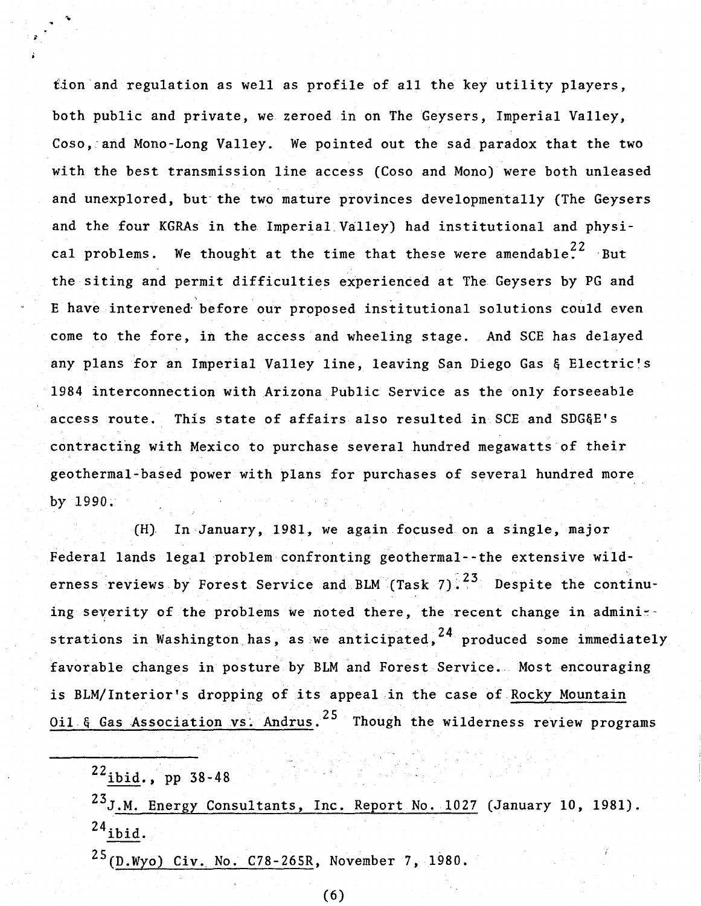tion and regulation as well as profile of all the key utility players. both public and private, we zeroed in on The Geysers, Imperial Valley, Coso, and Mono-Long Valley. We pointed out the sad paradox that the two with the best transmission line access (Coso and Mono) were both unleased and unexplored, but the two mature provinces developmentally (The Geysers and the four KGRAs in the Imperial Valley) had institutional and physical problems. We thought at the time that these were amendable.<sup>22</sup> But the siting and permit difficulties experienced at The Geysers by PG and E have intervened' before our proposed institutional solutions could even come to the fore, in the access and wheeling stage. And SCE has delayed any plans for an Imperial Valley line, leaving San Diego Gas & Electric's 1984 interconnection with Arizona Public Service as the only forseeable access route. This state of affairs also resulted in SCE and SDG&E's contracting with Mexico to purchase several hundred megawatts of their geothermal-based power with plans for purchases of several hundred more. by 1990.

(H). In January, 1981, we again focused on a single, major Federal lands legal problem confronting geothermal--the extensive wilderness reviews by Forest Service and BLM (Task 7).  $23$  Despite the continuing severity of the problems we noted there, the recent change in admini-strations in Washington has, as we anticipated,  $24$  produced some immediately favorable changes in posture by BLM and Forest Service. Most encouraging is BLM/Interior's dropping of its appeal in the case of.Rocky Mountain Oil. & Gas Association vs. Andrus. <sup>25</sup> Though the wilderness review programs

23J.M. Energy Consultants, Inc. Report No. 1027 (January 10, 1981).  $24$ ibid.

 $25(D. Wyo)$  Civ. No. C78-265R, November 7, 1980.

 $22$ ibid., pp 38-48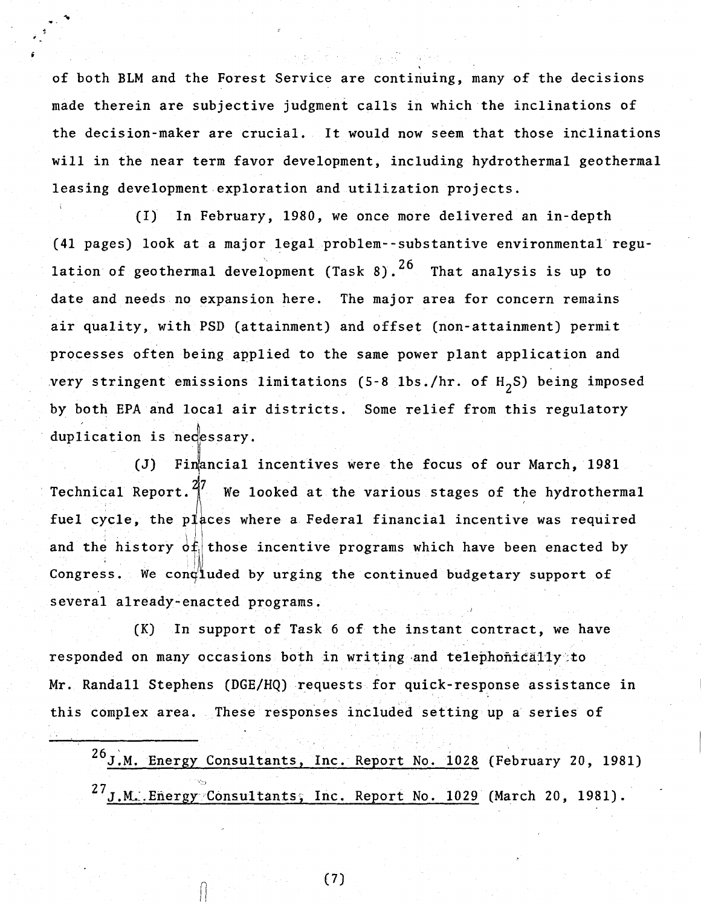of both BLM and the Forest Service are continuing, many of the decisions made therein are subjective judgment calls in which the inclinations of the decision-maker are crucial. It would now seem that those inclinations will in the near term favor development, including hydrothermal geothermal leasing development exploration and utilization projects.

{I) In February, 1980, we once more delivered an in-depth (41 pages) look at a major legalproblem--substantive environmental regulation of geothermal development (Task 8).<sup>26</sup> That analysis is up to date and needs no expansion here. The major area for concern remains air quality, with PSD (attainment) and offset (non-attainment) permit processes often being applied to the same power plant application and very stringent emissions limitations (5-8 lbs./hr. of  $H_2S$ ) being imposed by both EPA and local air districts. Some relief from this regulatory duplication is necessary.

(J) Financial incentives were the focus of our March, 1981 Technical Report. $\frac{27}{1}$  We looked at the various stages of the hydrothermal fuel cycle, the places where a Federal financial incentive was required and the history  $df$  those incentive programs which have been enacted by Congress. We condluded by urging the continued budgetary support of several already-enacted programs.

(K) In support of Task 6 of the instant contract, we have responded on many occasions both in writing and telephonically to Mr. Randall Stephens (DGE/HQ) requests for quick-response assistance in this complex area. These responses included setting up a series of

26J.M. Energy Consultants, Inc. Report No. 1028 (February 20, 1981)  $^{27}$ J.M. Energy Consultants, Inc. Report No. 1029 (March 20, 1981).

(7)

 $\int_0^1$